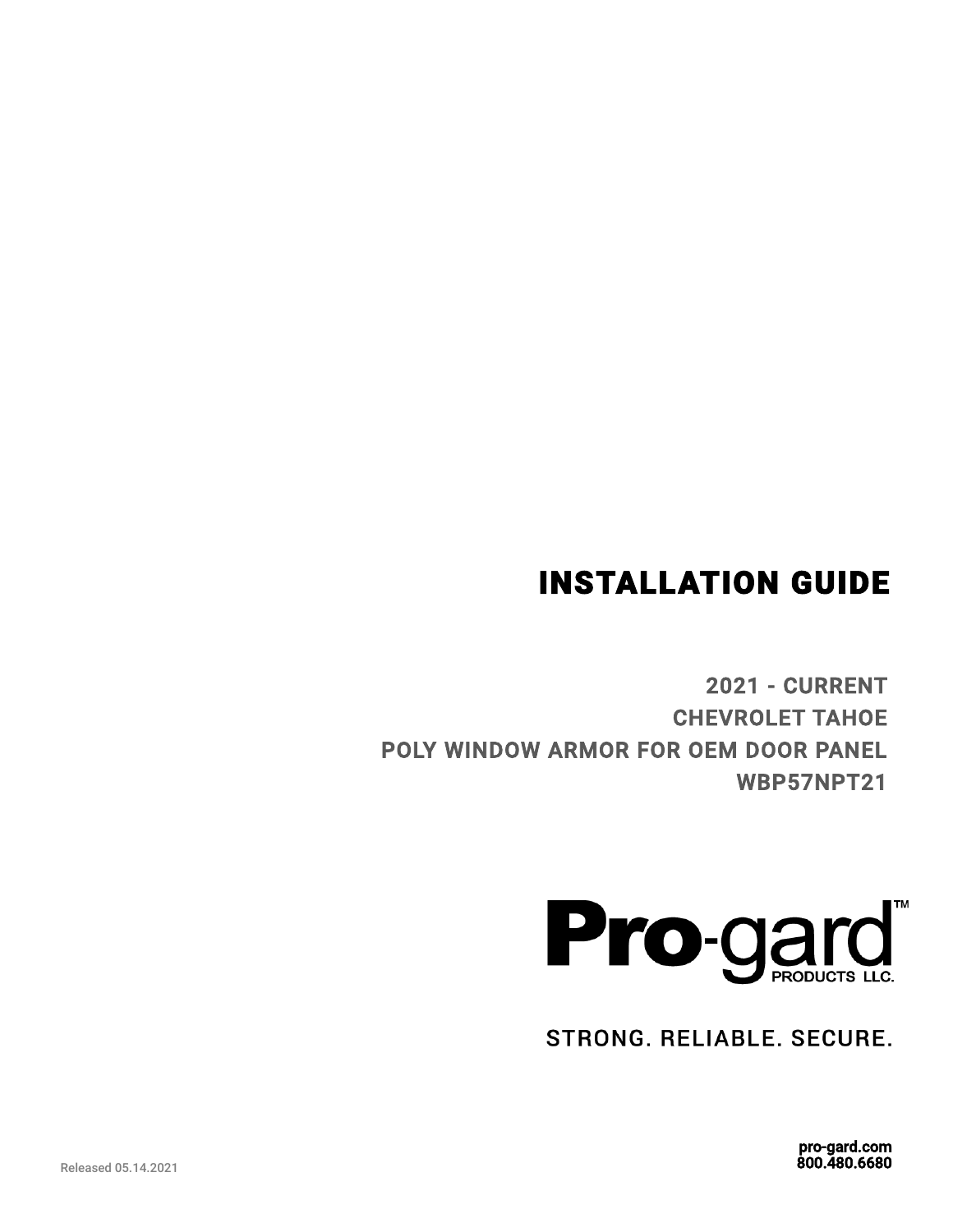# INSTALLATION GUIDE

2021 - CURRENT CHEVROLET TAHOE POLY WINDOW ARMOR FOR OEM DOOR PANEL WBP57NPT21



STRONG. RELIABLE. SECURE.

pro-gard.com 800.480.6680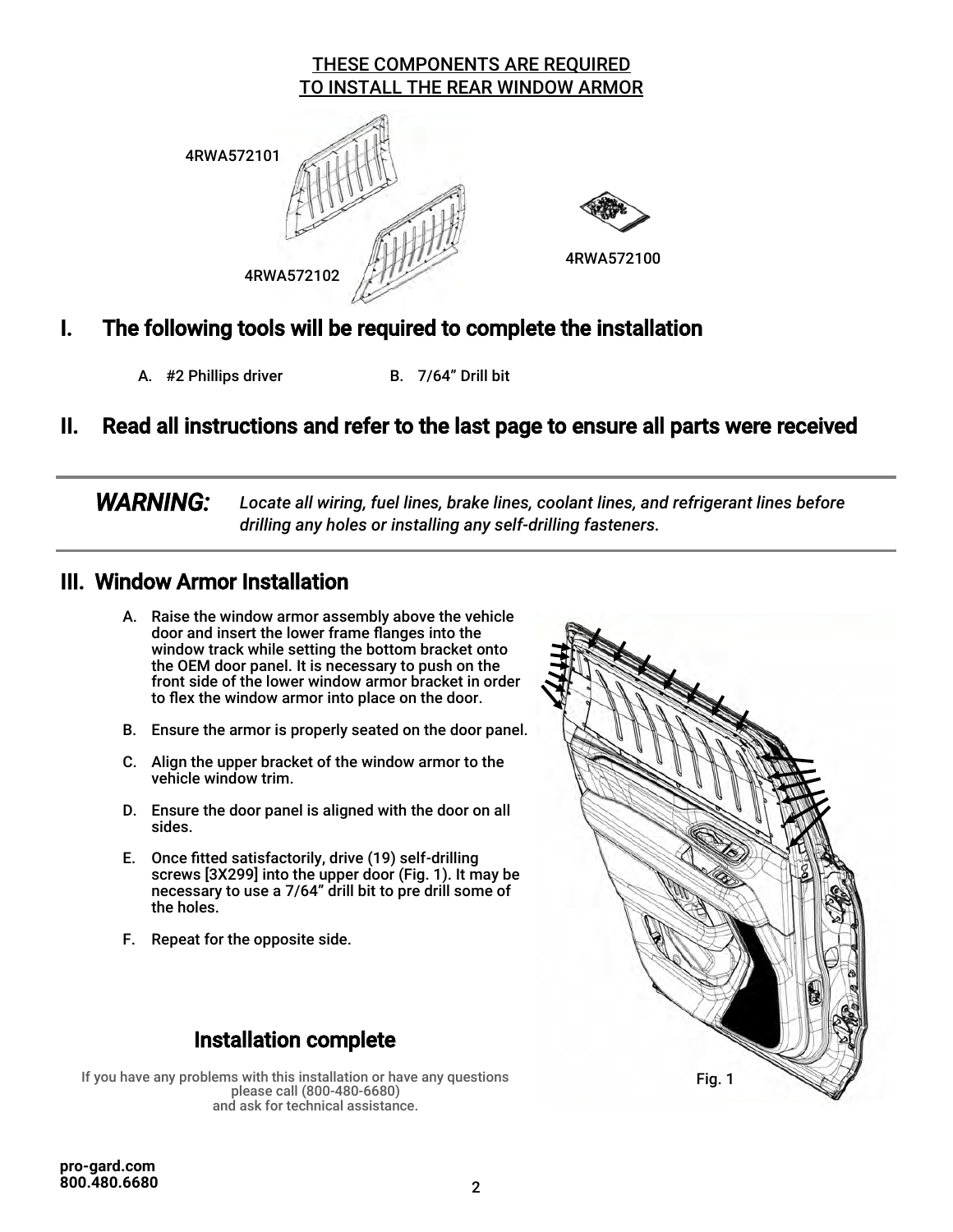#### THESE COMPONENTS ARE REQUIRED TO INSTALL THE REAR WINDOW ARMOR





4RWA572100

### I. The following tools will be required to complete the installation

A. #2 Phillips driver B. 7/64" Drill bit

## II. Read all instructions and refer to the last page to ensure all parts were received

 *WARNING: Locate all wiring, fuel lines, brake lines, coolant lines, and refrigerant lines before drilling any holes or installing any self-drilling fasteners.*

#### III. Window Armor Installation

- A. Raise the window armor assembly above the vehicle door and insert the lower frame flanges into the window track while setting the bottom bracket onto the OEM door panel. It is necessary to push on the front side of the lower window armor bracket in order to flex the window armor into place on the door.
- B. Ensure the armor is properly seated on the door panel.
- C. Align the upper bracket of the window armor to the vehicle window trim.
- D. Ensure the door panel is aligned with the door on all sides.
- E. Once fitted satisfactorily, drive (19) self-drilling screws [3X299] into the upper door (Fig. 1). It may be necessary to use a 7/64" drill bit to pre drill some of the holes.
- F. Repeat for the opposite side.

## Installation complete

If you have any problems with this installation or have any questions please call (800-480-6680) and ask for technical assistance.